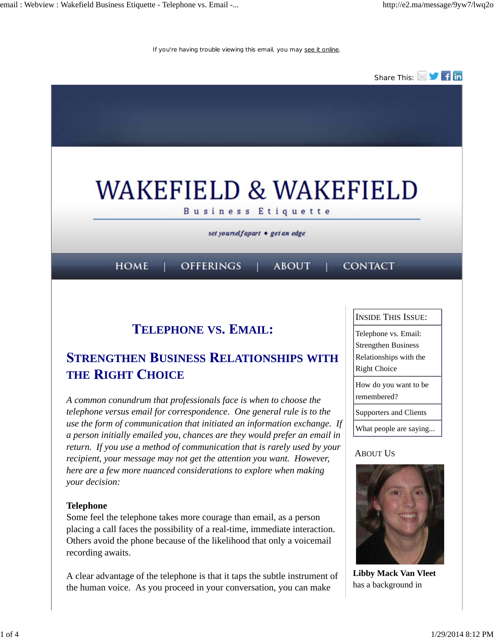If you're having trouble viewing this email, you may see it online.



# **TELEPHONE VS. EMAIL:**

# **STRENGTHEN BUSINESS RELATIONSHIPS WITH THE RIGHT CHOICE**

*A common conundrum that professionals face is when to choose the telephone versus email for correspondence. One general rule is to the use the form of communication that initiated an information exchange. If a person initially emailed you, chances are they would prefer an email in return. If you use a method of communication that is rarely used by your recipient, your message may not get the attention you want. However, here are a few more nuanced considerations to explore when making your decision:*

### **Telephone**

Some feel the telephone takes more courage than email, as a person placing a call faces the possibility of a real-time, immediate interaction. Others avoid the phone because of the likelihood that only a voicemail recording awaits.

A clear advantage of the telephone is that it taps the subtle instrument of the human voice. As you proceed in your conversation, you can make

| <b>INSIDE THIS ISSUE:</b>                                                                           |
|-----------------------------------------------------------------------------------------------------|
| Telephone vs. Email:<br><b>Strengthen Business</b><br>Relationships with the<br><b>Right Choice</b> |
| How do you want to be<br>remembered?                                                                |
| Supporters and Clients                                                                              |
| What people are saying                                                                              |
|                                                                                                     |

### ABOUT US



**Libby Mack Van Vleet** has a background in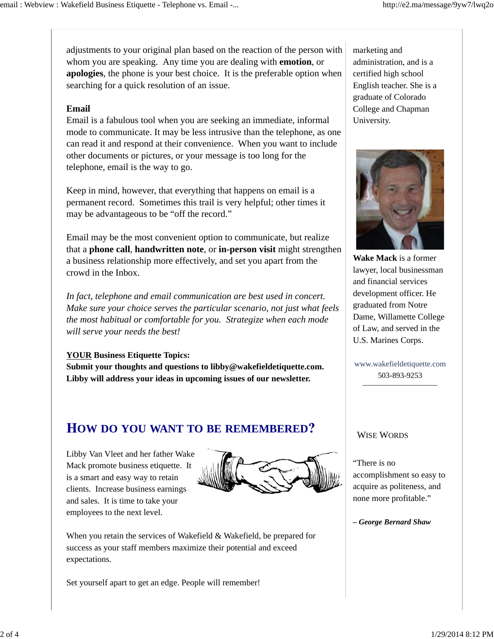adjustments to your original plan based on the reaction of the person with whom you are speaking. Any time you are dealing with **emotion**, or **apologies**, the phone is your best choice. It is the preferable option when searching for a quick resolution of an issue.

#### **Email**

Email is a fabulous tool when you are seeking an immediate, informal mode to communicate. It may be less intrusive than the telephone, as one can read it and respond at their convenience. When you want to include other documents or pictures, or your message is too long for the telephone, email is the way to go.

Keep in mind, however, that everything that happens on email is a permanent record. Sometimes this trail is very helpful; other times it may be advantageous to be "off the record."

Email may be the most convenient option to communicate, but realize that a **phone call**, **handwritten note**, or **in-person visit** might strengthen a business relationship more effectively, and set you apart from the crowd in the Inbox.

*In fact, telephone and email communication are best used in concert. Make sure your choice serves the particular scenario, not just what feels the most habitual or comfortable for you. Strategize when each mode will serve your needs the best!*

#### **YOUR Business Etiquette Topics:**

**Submit your thoughts and questions to libby@wakefieldetiquette.com. Libby will address your ideas in upcoming issues of our newsletter.**

## **OW DO YOU WANT TO BE REMEMBERED**

Libby Van Vleet and her father Wake Mack promote business etiquette. It is a smart and easy way to retain clients. Increase business earnings and sales. It is time to take your employees to the next level.



When you retain the services of Wakefield & Wakefield, be prepared for success as your staff members maximize their potential and exceed expectations.

Set yourself apart to get an edge. People will remember!

marketing and administration, and is a certified high school English teacher. She is a graduate of Colorado College and Chapman University.



**Wake Mack** is a former lawyer, local businessman and financial services development officer. He graduated from Notre Dame, Willamette College of Law, and served in the U.S. Marines Corps.

www.wakefieldetiquette.com 503-893-9253

#### WISE WORDS

"There is no accomplishment so easy to acquire as politeness, and none more profitable."

*– George Bernard Shaw*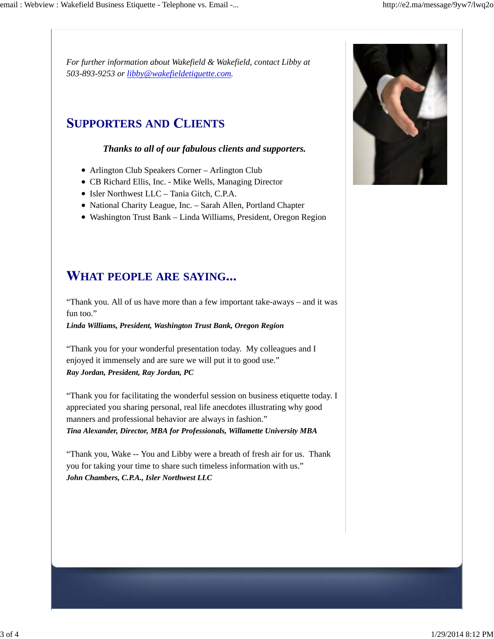*For further information about Wakefield & Wakefield, contact Libby at 503-893-9253 or libby@wakefieldetiquette.com.*

# **UPPORTERS AND LIENTS**

### *Thanks to all of our fabulous clients and supporters.*

- Arlington Club Speakers Corner Arlington Club
- CB Richard Ellis, Inc. Mike Wells, Managing Director
- Isler Northwest LLC Tania Gitch, C.P.A.
- National Charity League, Inc. Sarah Allen, Portland Chapter
- Washington Trust Bank Linda Williams, President, Oregon Region

# **HAT PEOPLE ARE SAYING**

"Thank you. All of us have more than a few important take-aways – and it was fun too."

*Linda Williams, President, Washington Trust Bank, Oregon Region*

"Thank you for your wonderful presentation today. My colleagues and I enjoyed it immensely and are sure we will put it to good use." *Ray Jordan, President, Ray Jordan, PC*

"Thank you for facilitating the wonderful session on business etiquette today. I appreciated you sharing personal, real life anecdotes illustrating why good manners and professional behavior are always in fashion." *Tina Alexander, Director, MBA for Professionals, Willamette University MBA*

"Thank you, Wake -- You and Libby were a breath of fresh air for us. Thank you for taking your time to share such timeless information with us." *John Chambers, C.P.A., Isler Northwest LLC*